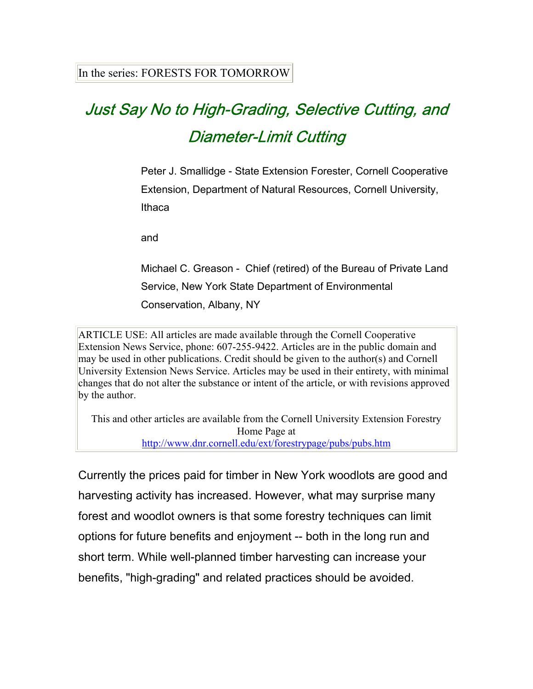## Just Say No to High-Grading, Selective Cutting, and Diameter-Limit Cutting

Peter J. Smallidge - State Extension Forester, Cornell Cooperative Extension, Department of Natural Resources, Cornell University, Ithaca

and

Michael C. Greason - Chief (retired) of the Bureau of Private Land Service, New York State Department of Environmental Conservation, Albany, NY

ARTICLE USE: All articles are made available through the Cornell Cooperative Extension News Service, phone: 607-255-9422. Articles are in the public domain and may be used in other publications. Credit should be given to the author(s) and Cornell University Extension News Service. Articles may be used in their entirety, with minimal changes that do not alter the substance or intent of the article, or with revisions approved by the author.

This and other articles are available from the Cornell University Extension Forestry Home Page at <http://www.dnr.cornell.edu/ext/forestrypage/pubs/pubs.htm>

Currently the prices paid for timber in New York woodlots are good and harvesting activity has increased. However, what may surprise many forest and woodlot owners is that some forestry techniques can limit options for future benefits and enjoyment -- both in the long run and short term. While well-planned timber harvesting can increase your benefits, "high-grading" and related practices should be avoided.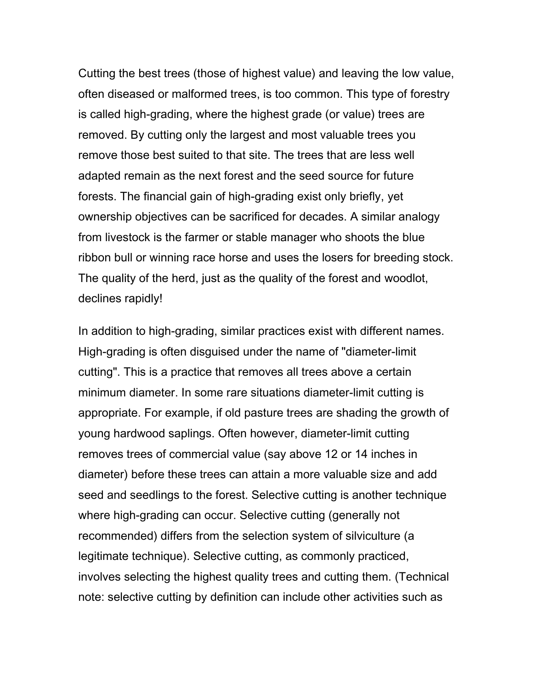Cutting the best trees (those of highest value) and leaving the low value, often diseased or malformed trees, is too common. This type of forestry is called high-grading, where the highest grade (or value) trees are removed. By cutting only the largest and most valuable trees you remove those best suited to that site. The trees that are less well adapted remain as the next forest and the seed source for future forests. The financial gain of high-grading exist only briefly, yet ownership objectives can be sacrificed for decades. A similar analogy from livestock is the farmer or stable manager who shoots the blue ribbon bull or winning race horse and uses the losers for breeding stock. The quality of the herd, just as the quality of the forest and woodlot, declines rapidly!

In addition to high-grading, similar practices exist with different names. High-grading is often disguised under the name of "diameter-limit cutting". This is a practice that removes all trees above a certain minimum diameter. In some rare situations diameter-limit cutting is appropriate. For example, if old pasture trees are shading the growth of young hardwood saplings. Often however, diameter-limit cutting removes trees of commercial value (say above 12 or 14 inches in diameter) before these trees can attain a more valuable size and add seed and seedlings to the forest. Selective cutting is another technique where high-grading can occur. Selective cutting (generally not recommended) differs from the selection system of silviculture (a legitimate technique). Selective cutting, as commonly practiced, involves selecting the highest quality trees and cutting them. (Technical note: selective cutting by definition can include other activities such as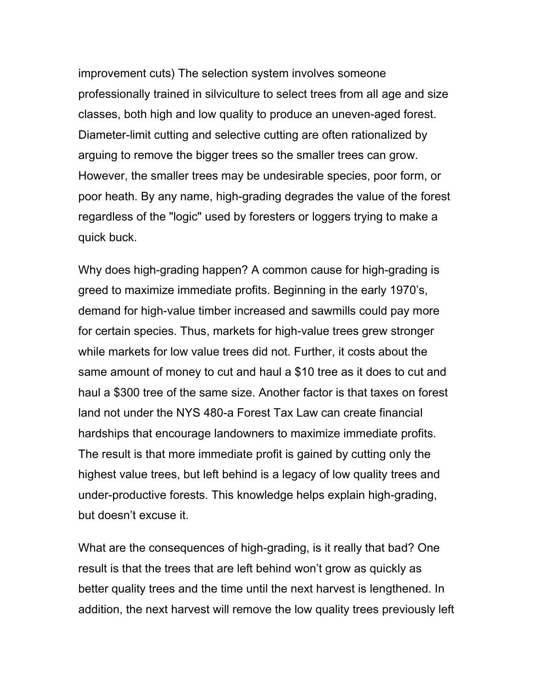improvement cuts) The selection system involves someone professionally trained in silviculture to select trees from all age and size classes, both high and low quality to produce an uneven-aged forest. Diameter-limit cutting and selective cutting are often rationalized by arguing to remove the bigger trees so the smaller trees can grow. However, the smaller trees may be undesirable species, poor form, or poor heath. By any name, high-grading degrades the value of the forest regardless of the "logic" used by foresters or loggers trying to make a quick buck.

Why does high-grading happen? A common cause for high-grading is greed to maximize immediate profits. Beginning in the early 1970's, demand for high-value timber increased and sawmills could pay more for certain species. Thus, markets for high-value trees grew stronger while markets for low value trees did not. Further, it costs about the same amount of money to cut and haul a \$10 tree as it does to cut and haul a \$300 tree of the same size. Another factor is that taxes on forest land not under the NYS 480-a Forest Tax Law can create financial hardships that encourage landowners to maximize immediate profits. The result is that more immediate profit is gained by cutting only the highest value trees, but left behind is a legacy of low quality trees and under-productive forests. This knowledge helps explain high-grading, but doesn't excuse it.

What are the consequences of high-grading, is it really that bad? One result is that the trees that are left behind won't grow as quickly as better quality trees and the time until the next harvest is lengthened. In addition, the next harvest will remove the low quality trees previously left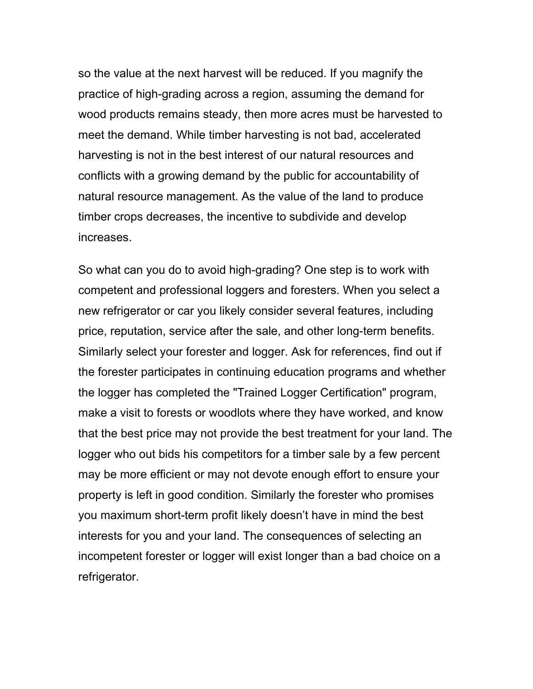so the value at the next harvest will be reduced. If you magnify the practice of high-grading across a region, assuming the demand for wood products remains steady, then more acres must be harvested to meet the demand. While timber harvesting is not bad, accelerated harvesting is not in the best interest of our natural resources and conflicts with a growing demand by the public for accountability of natural resource management. As the value of the land to produce timber crops decreases, the incentive to subdivide and develop increases.

So what can you do to avoid high-grading? One step is to work with competent and professional loggers and foresters. When you select a new refrigerator or car you likely consider several features, including price, reputation, service after the sale, and other long-term benefits. Similarly select your forester and logger. Ask for references, find out if the forester participates in continuing education programs and whether the logger has completed the "Trained Logger Certification" program, make a visit to forests or woodlots where they have worked, and know that the best price may not provide the best treatment for your land. The logger who out bids his competitors for a timber sale by a few percent may be more efficient or may not devote enough effort to ensure your property is left in good condition. Similarly the forester who promises you maximum short-term profit likely doesn't have in mind the best interests for you and your land. The consequences of selecting an incompetent forester or logger will exist longer than a bad choice on a refrigerator.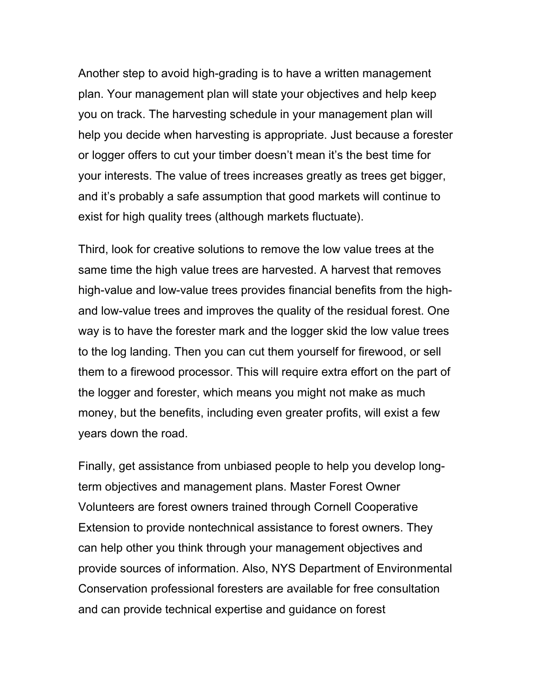Another step to avoid high-grading is to have a written management plan. Your management plan will state your objectives and help keep you on track. The harvesting schedule in your management plan will help you decide when harvesting is appropriate. Just because a forester or logger offers to cut your timber doesn't mean it's the best time for your interests. The value of trees increases greatly as trees get bigger, and it's probably a safe assumption that good markets will continue to exist for high quality trees (although markets fluctuate).

Third, look for creative solutions to remove the low value trees at the same time the high value trees are harvested. A harvest that removes high-value and low-value trees provides financial benefits from the highand low-value trees and improves the quality of the residual forest. One way is to have the forester mark and the logger skid the low value trees to the log landing. Then you can cut them yourself for firewood, or sell them to a firewood processor. This will require extra effort on the part of the logger and forester, which means you might not make as much money, but the benefits, including even greater profits, will exist a few years down the road.

Finally, get assistance from unbiased people to help you develop longterm objectives and management plans. Master Forest Owner Volunteers are forest owners trained through Cornell Cooperative Extension to provide nontechnical assistance to forest owners. They can help other you think through your management objectives and provide sources of information. Also, NYS Department of Environmental Conservation professional foresters are available for free consultation and can provide technical expertise and guidance on forest